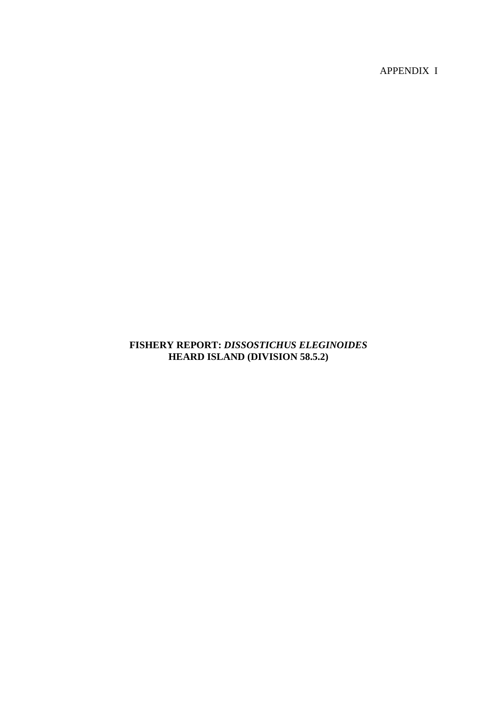APPENDIX I

# **FISHERY REPORT:** *DISSOSTICHUS ELEGINOIDES* **HEARD ISLAND (DIVISION 58.5.2)**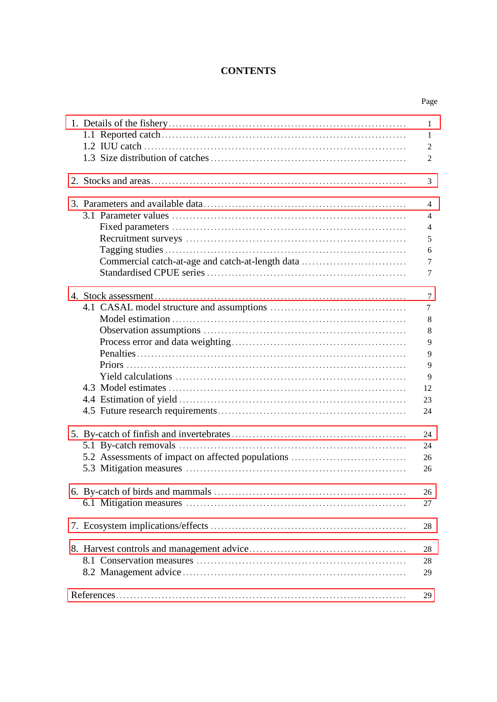# **CONTENTS**

|                                                   | 1              |
|---------------------------------------------------|----------------|
|                                                   | $\mathbf{1}$   |
|                                                   | $\overline{2}$ |
|                                                   | $\overline{c}$ |
|                                                   | 3              |
|                                                   | $\overline{4}$ |
|                                                   | $\overline{4}$ |
|                                                   | $\overline{4}$ |
|                                                   | 5              |
|                                                   | 6              |
|                                                   | 7              |
|                                                   | 7              |
|                                                   | $\overline{7}$ |
|                                                   | 7              |
|                                                   | 8              |
|                                                   | 8              |
|                                                   | 9              |
|                                                   | 9              |
|                                                   | 9              |
|                                                   | 9              |
|                                                   | 12             |
|                                                   | 23             |
|                                                   | 24             |
|                                                   | 24             |
|                                                   | 24             |
| 5.2 Assessments of impact on affected populations | 26             |
|                                                   | 26             |
|                                                   | 26             |
|                                                   | 27             |
|                                                   | 28             |
|                                                   | 28             |
|                                                   | 28             |
|                                                   | 29             |
|                                                   | 29             |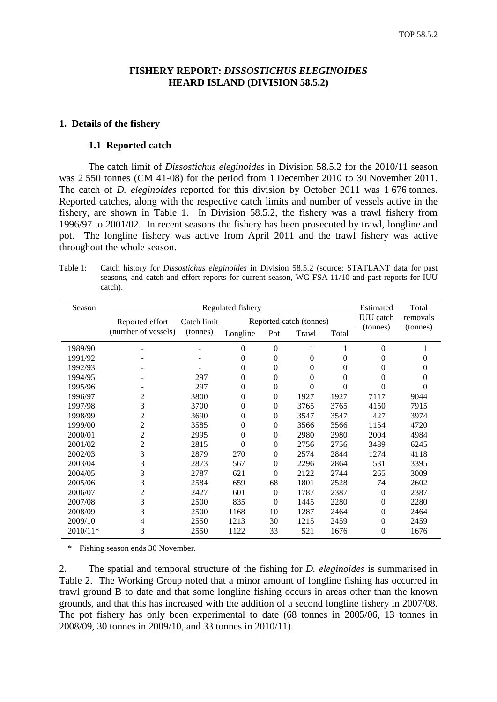### **FISHERY REPORT:** *DISSOSTICHUS ELEGINOIDES* **HEARD ISLAND (DIVISION 58.5.2)**

#### <span id="page-2-0"></span>**1. Details of the fishery**

#### **1.1 Reported catch**

The catch limit of *Dissostichus eleginoides* in Division 58.5.2 for the 2010/11 season was 2 550 tonnes (CM 41-08) for the period from 1 December 2010 to 30 November 2011. The catch of *D. eleginoides* reported for this division by October 2011 was 1 676 tonnes. Reported catches, along with the respective catch limits and number of vessels active in the fishery, are shown in Table 1. In Division 58.5.2, the fishery was a trawl fishery from 1996/97 to 2001/02. In recent seasons the fishery has been prosecuted by trawl, longline and pot. The longline fishery was active from April 2011 and the trawl fishery was active throughout the whole season.

Table 1: Catch history for *Dissostichus eleginoides* in Division 58.5.2 (source: STATLANT data for past seasons, and catch and effort reports for current season, WG-FSA-11/10 and past reports for IUU catch).

| Season   |                                                           | Estimated | Total        |                  |                |                  |                |          |
|----------|-----------------------------------------------------------|-----------|--------------|------------------|----------------|------------------|----------------|----------|
|          | Reported catch (tonnes)<br>Catch limit<br>Reported effort |           |              |                  |                | <b>IUU</b> catch | removals       |          |
|          | (number of vessels)                                       | (tonnes)  | Longline     | Pot              | Trawl          | Total            | (tonnes)       | (tonnes) |
| 1989/90  |                                                           |           | $\Omega$     | $\overline{0}$   | 1              | 1                | $\theta$       |          |
| 1991/92  |                                                           |           | $\theta$     | 0                | $\Omega$       | $\Omega$         | $\theta$       | 0        |
| 1992/93  |                                                           |           | $\mathbf{0}$ | 0                | $\overline{0}$ | $\overline{0}$   | 0              | 0        |
| 1994/95  |                                                           | 297       | $\mathbf{0}$ | $\overline{0}$   | $\Omega$       | $\Omega$         | $\theta$       | 0        |
| 1995/96  |                                                           | 297       | $\mathbf{0}$ | $\boldsymbol{0}$ | $\theta$       | $\Omega$         | $\Omega$       | 0        |
| 1996/97  | $\overline{c}$                                            | 3800      | $\mathbf{0}$ | $\boldsymbol{0}$ | 1927           | 1927             | 7117           | 9044     |
| 1997/98  | 3                                                         | 3700      | $\mathbf{0}$ | $\boldsymbol{0}$ | 3765           | 3765             | 4150           | 7915     |
| 1998/99  | $\overline{c}$                                            | 3690      | $\Omega$     | $\boldsymbol{0}$ | 3547           | 3547             | 427            | 3974     |
| 1999/00  | $\overline{c}$                                            | 3585      | $\mathbf{0}$ | 0                | 3566           | 3566             | 1154           | 4720     |
| 2000/01  | $\overline{c}$                                            | 2995      | $\Omega$     | $\overline{0}$   | 2980           | 2980             | 2004           | 4984     |
| 2001/02  | $\overline{c}$                                            | 2815      | $\Omega$     | $\overline{0}$   | 2756           | 2756             | 3489           | 6245     |
| 2002/03  | 3                                                         | 2879      | 270          | $\theta$         | 2574           | 2844             | 1274           | 4118     |
| 2003/04  | 3                                                         | 2873      | 567          | $\boldsymbol{0}$ | 2296           | 2864             | 531            | 3395     |
| 2004/05  | 3                                                         | 2787      | 621          | $\overline{0}$   | 2122           | 2744             | 265            | 3009     |
| 2005/06  | 3                                                         | 2584      | 659          | 68               | 1801           | 2528             | 74             | 2602     |
| 2006/07  | $\overline{c}$                                            | 2427      | 601          | $\boldsymbol{0}$ | 1787           | 2387             | $\theta$       | 2387     |
| 2007/08  | 3                                                         | 2500      | 835          | $\boldsymbol{0}$ | 1445           | 2280             | 0              | 2280     |
| 2008/09  | 3                                                         | 2500      | 1168         | 10               | 1287           | 2464             | 0              | 2464     |
| 2009/10  | 4                                                         | 2550      | 1213         | 30               | 1215           | 2459             | 0              | 2459     |
| 2010/11* | 3                                                         | 2550      | 1122         | 33               | 521            | 1676             | $\overline{0}$ | 1676     |

\* Fishing season ends 30 November.

2. The spatial and temporal structure of the fishing for *D. eleginoides* is summarised in Table 2. The Working Group noted that a minor amount of longline fishing has occurred in trawl ground B to date and that some longline fishing occurs in areas other than the known grounds, and that this has increased with the addition of a second longline fishery in 2007/08. The pot fishery has only been experimental to date (68 tonnes in 2005/06, 13 tonnes in 2008/09, 30 tonnes in 2009/10, and 33 tonnes in 2010/11).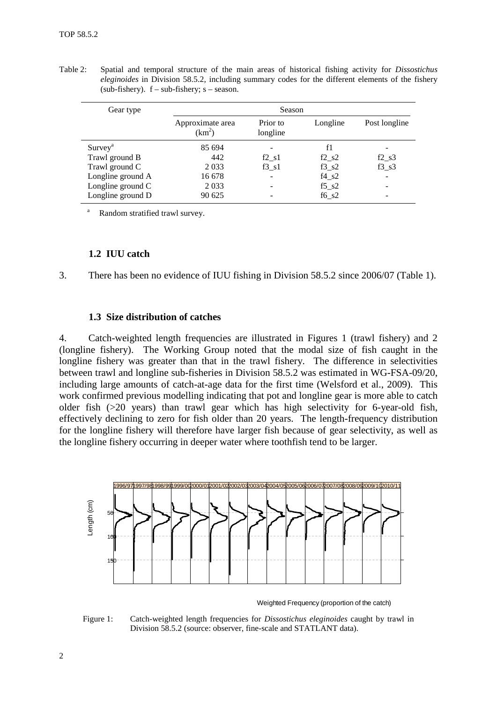Table 2: Spatial and temporal structure of the main areas of historical fishing activity for *Dissostichus eleginoides* in Division 58.5.2, including summary codes for the different elements of the fishery (sub-fishery).  $f - sub-fishery$ ; s – season.

| Gear type                       | Season                                 |                          |                     |                      |  |  |  |
|---------------------------------|----------------------------------------|--------------------------|---------------------|----------------------|--|--|--|
|                                 | Approximate area<br>(km <sup>2</sup> ) | Prior to<br>longline     | Longline            | Post longline        |  |  |  |
| Surve <sub>y</sub> <sup>a</sup> | 85 694                                 |                          | f1                  |                      |  |  |  |
| Trawl ground B                  | 442                                    | $f2 \ s1$                | $f2_s2$             | $f2$ <sub>-8</sub> 3 |  |  |  |
| Trawl ground C                  | 2 0 3 3                                | $f3 \text{ } s1$         | $f3_82$             | $f3 \text{ s}3$      |  |  |  |
| Longline ground A               | 16 678                                 | $\overline{\phantom{a}}$ | $f4_s2$             |                      |  |  |  |
| Longline ground C               | 2 0 3 3                                |                          | $f5_s2$             |                      |  |  |  |
| Longline ground D               | 90 625                                 |                          | f <sub>6</sub> $s2$ |                      |  |  |  |

Random stratified trawl survey.

### **1.2 IUU catch**

3. There has been no evidence of IUU fishing in Division 58.5.2 since 2006/07 (Table 1).

### **1.3 Size distribution of catches**

4. Catch-weighted length frequencies are illustrated in Figures 1 (trawl fishery) and 2 (longline fishery). The Working Group noted that the modal size of fish caught in the longline fishery was greater than that in the trawl fishery. The difference in selectivities between trawl and longline sub-fisheries in Division 58.5.2 was estimated in WG-FSA-09/20, including large amounts of catch-at-age data for the first time (Welsford et al., 2009). This work confirmed previous modelling indicating that pot and longline gear is more able to catch older fish (>20 years) than trawl gear which has high selectivity for 6-year-old fish, effectively declining to zero for fish older than 20 years. The length-frequency distribution for the longline fishery will therefore have larger fish because of gear selectivity, as well as the longline fishery occurring in deeper water where toothfish tend to be larger.



Weighted Frequency (proportion of the catch)

Figure 1: Catch-weighted length frequencies for *Dissostichus eleginoides* caught by trawl in Division 58.5.2 (source: observer, fine-scale and STATLANT data).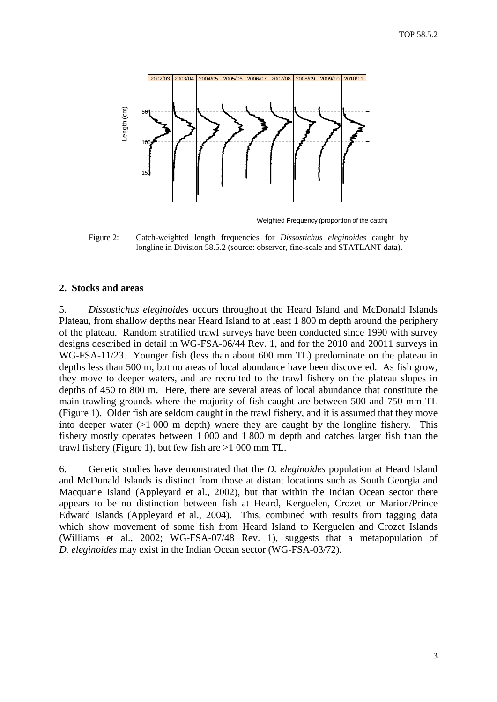<span id="page-4-0"></span>

Weighted Frequency (proportion of the catch)

Figure 2: Catch-weighted length frequencies for *Dissostichus eleginoides* caught by longline in Division 58.5.2 (source: observer, fine-scale and STATLANT data).

#### **2. Stocks and areas**

5. *Dissostichus eleginoides* occurs throughout the Heard Island and McDonald Islands Plateau, from shallow depths near Heard Island to at least 1 800 m depth around the periphery of the plateau. Random stratified trawl surveys have been conducted since 1990 with survey designs described in detail in WG-FSA-06/44 Rev. 1, and for the 2010 and 20011 surveys in WG-FSA-11/23. Younger fish (less than about 600 mm TL) predominate on the plateau in depths less than 500 m, but no areas of local abundance have been discovered. As fish grow, they move to deeper waters, and are recruited to the trawl fishery on the plateau slopes in depths of 450 to 800 m. Here, there are several areas of local abundance that constitute the main trawling grounds where the majority of fish caught are between 500 and 750 mm TL (Figure 1). Older fish are seldom caught in the trawl fishery, and it is assumed that they move into deeper water  $(>1000 \text{ m}$  depth) where they are caught by the longline fishery. This fishery mostly operates between 1 000 and 1 800 m depth and catches larger fish than the trawl fishery (Figure 1), but few fish are >1 000 mm TL.

6. Genetic studies have demonstrated that the *D. eleginoides* population at Heard Island and McDonald Islands is distinct from those at distant locations such as South Georgia and Macquarie Island (Appleyard et al., 2002), but that within the Indian Ocean sector there appears to be no distinction between fish at Heard, Kerguelen, Crozet or Marion/Prince Edward Islands (Appleyard et al., 2004). This, combined with results from tagging data which show movement of some fish from Heard Island to Kerguelen and Crozet Islands (Williams et al., 2002; WG-FSA-07/48 Rev. 1), suggests that a metapopulation of *D. eleginoides* may exist in the Indian Ocean sector (WG-FSA-03/72).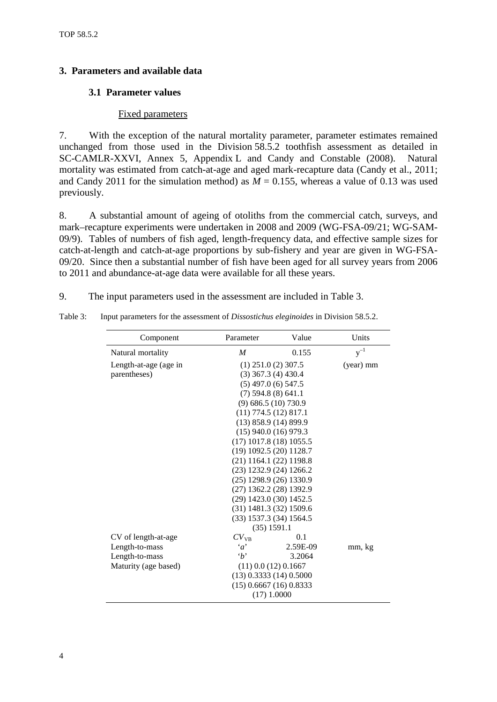# <span id="page-5-0"></span>**3. Parameters and available data**

# **3.1 Parameter values**

# Fixed parameters

7. With the exception of the natural mortality parameter, parameter estimates remained unchanged from those used in the Division 58.5.2 toothfish assessment as detailed in SC-CAMLR-XXVI, Annex 5, Appendix L and Candy and Constable (2008). Natural mortality was estimated from catch-at-age and aged mark-recapture data (Candy et al., 2011; and Candy 2011 for the simulation method) as  $M = 0.155$ , whereas a value of 0.13 was used previously.

8. A substantial amount of ageing of otoliths from the commercial catch, surveys, and mark–recapture experiments were undertaken in 2008 and 2009 (WG-FSA-09/21; WG-SAM-09/9). Tables of numbers of fish aged, length-frequency data, and effective sample sizes for catch-at-length and catch-at-age proportions by sub-fishery and year are given in WG-FSA-09/20. Since then a substantial number of fish have been aged for all survey years from 2006 to 2011 and abundance-at-age data were available for all these years.

9. The input parameters used in the assessment are included in Table 3.

| Component             | Parameter                   | Value                     | Units             |  |  |  |
|-----------------------|-----------------------------|---------------------------|-------------------|--|--|--|
| Natural mortality     | $\boldsymbol{M}$            | 0.155                     | $\mathbf{y}^{-1}$ |  |  |  |
| Length-at-age (age in | $(1)$ 251.0 $(2)$ 307.5     |                           | (year) mm         |  |  |  |
| parentheses)          | $(3)$ 367.3 $(4)$ 430.4     |                           |                   |  |  |  |
|                       | $(5)$ 497.0 $(6)$ 547.5     |                           |                   |  |  |  |
|                       | $(7)$ 594.8 $(8)$ 641.1     |                           |                   |  |  |  |
|                       | $(9)$ 686.5 $(10)$ 730.9    |                           |                   |  |  |  |
|                       | $(11)$ 774.5 $(12)$ 817.1   |                           |                   |  |  |  |
|                       | $(13)$ 858.9 $(14)$ 899.9   |                           |                   |  |  |  |
|                       | $(15)$ 940.0 $(16)$ 979.3   |                           |                   |  |  |  |
|                       | $(17)$ 1017.8 $(18)$ 1055.5 |                           |                   |  |  |  |
|                       | $(19)$ 1092.5 $(20)$ 1128.7 |                           |                   |  |  |  |
|                       |                             | (21) 1164.1 (22) 1198.8   |                   |  |  |  |
|                       | $(23)$ 1232.9 $(24)$ 1266.2 |                           |                   |  |  |  |
|                       | $(25)$ 1298.9 $(26)$ 1330.9 |                           |                   |  |  |  |
|                       | $(27)$ 1362.2 (28) 1392.9   |                           |                   |  |  |  |
|                       | $(29)$ 1423.0 $(30)$ 1452.5 |                           |                   |  |  |  |
|                       |                             | $(31)$ 1481.3 (32) 1509.6 |                   |  |  |  |
|                       | $(33)$ 1537.3 $(34)$ 1564.5 |                           |                   |  |  |  |
|                       | $(35)$ 1591.1               |                           |                   |  |  |  |
| CV of length-at-age   | CV <sub>VB</sub>            | 0.1                       |                   |  |  |  |
| Length-to-mass        | $\alpha$                    | 2.59E-09                  | mm, kg            |  |  |  |
| Length-to-mass        | $\cdot_b$                   | 3.2064                    |                   |  |  |  |
| Maturity (age based)  | $(11)$ 0.0 $(12)$ 0.1667    |                           |                   |  |  |  |
|                       | $(13)$ 0.3333 $(14)$ 0.5000 |                           |                   |  |  |  |
|                       | $(15)$ 0.6667 $(16)$ 0.8333 |                           |                   |  |  |  |
|                       | (17) 1.0000                 |                           |                   |  |  |  |

Table 3: Input parameters for the assessment of *Dissostichus eleginoides* in Division 58.5.2.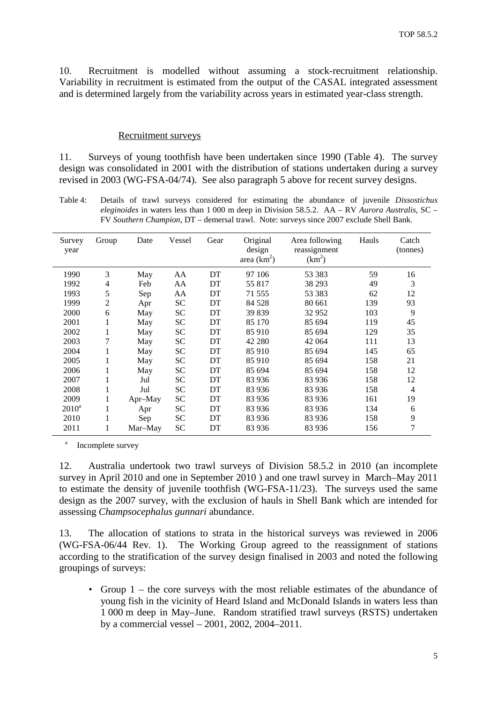10. Recruitment is modelled without assuming a stock-recruitment relationship. Variability in recruitment is estimated from the output of the CASAL integrated assessment and is determined largely from the variability across years in estimated year-class strength.

#### Recruitment surveys

11. Surveys of young toothfish have been undertaken since 1990 (Table 4). The survey design was consolidated in 2001 with the distribution of stations undertaken during a survey revised in 2003 (WG-FSA-04/74). See also paragraph 5 above for recent survey designs.

Table 4: Details of trawl surveys considered for estimating the abundance of juvenile *Dissostichus eleginoides* in waters less than 1 000 m deep in Division 58.5.2. AA – RV *Aurora Australis*, SC – FV *Southern Champion*, DT – demersal trawl. Note: surveys since 2007 exclude Shell Bank.

| Survey<br>year | Group        | Date      | Vessel    | Gear | Original<br>design<br>area $(km^2)$ | Area following<br>reassignment<br>(km <sup>2</sup> ) | Hauls | Catch<br>(tonnes) |
|----------------|--------------|-----------|-----------|------|-------------------------------------|------------------------------------------------------|-------|-------------------|
| 1990           | 3            | May       | AA        | DT   | 97 106                              | 53 383                                               | 59    | 16                |
| 1992           | 4            | Feb       | AA        | DT   | 55 817                              | 38 293                                               | 49    | 3                 |
| 1993           | 5            | Sep       | AA        | DT   | 71 555                              | 53 383                                               | 62    | 12                |
| 1999           | 2            | Apr       | <b>SC</b> | DT   | 84 528                              | 80 661                                               | 139   | 93                |
| 2000           | 6            | May       | SC        | DT   | 39 839                              | 32952                                                | 103   | 9                 |
| 2001           | 1            | May       | SC        | DT   | 85 170                              | 85 694                                               | 119   | 45                |
| 2002           | $\mathbf{1}$ | May       | SC        | DT   | 85 910                              | 85 694                                               | 129   | 35                |
| 2003           | 7            | May       | SC        | DT   | 42 280                              | 42 064                                               | 111   | 13                |
| 2004           | 1            | May       | <b>SC</b> | DT   | 85 910                              | 85 694                                               | 145   | 65                |
| 2005           | 1            | May       | SC        | DT   | 85 910                              | 85 694                                               | 158   | 21                |
| 2006           |              | May       | SC        | DT   | 85 694                              | 85 694                                               | 158   | 12                |
| 2007           | 1            | Jul       | SC        | DT   | 83 936                              | 83 936                                               | 158   | 12                |
| 2008           |              | Jul       | SC        | DT   | 83 936                              | 83 936                                               | 158   | 4                 |
| 2009           |              | $Apr-May$ | SC        | DT   | 83 936                              | 83 936                                               | 161   | 19                |
| $2010^a$       | 1            | Apr       | SC        | DT   | 83 936                              | 83 936                                               | 134   | 6                 |
| 2010           |              | Sep       | SC        | DT   | 83 936                              | 83 936                                               | 158   | 9                 |
| 2011           |              | Mar-May   | SC        | DT   | 83 936                              | 83 936                                               | 156   | 7                 |

<sup>a</sup> Incomplete survey

12. Australia undertook two trawl surveys of Division 58.5.2 in 2010 (an incomplete survey in April 2010 and one in September 2010 ) and one trawl survey in March–May 2011 to estimate the density of juvenile toothfish (WG-FSA-11/23). The surveys used the same design as the 2007 survey, with the exclusion of hauls in Shell Bank which are intended for assessing *Champsocephalus gunnari* abundance.

13. The allocation of stations to strata in the historical surveys was reviewed in 2006 (WG-FSA-06/44 Rev. 1). The Working Group agreed to the reassignment of stations according to the stratification of the survey design finalised in 2003 and noted the following groupings of surveys:

• Group 1 – the core surveys with the most reliable estimates of the abundance of young fish in the vicinity of Heard Island and McDonald Islands in waters less than 1 000 m deep in May–June. Random stratified trawl surveys (RSTS) undertaken by a commercial vessel – 2001, 2002, 2004–2011.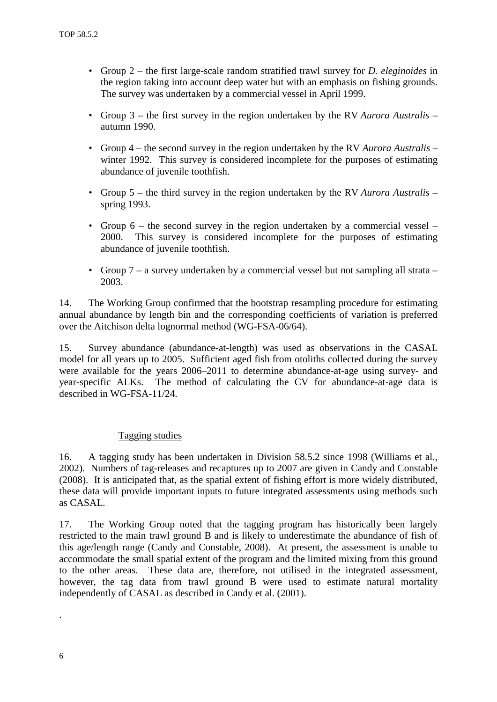- Group 2 the first large-scale random stratified trawl survey for *D. eleginoides* in the region taking into account deep water but with an emphasis on fishing grounds. The survey was undertaken by a commercial vessel in April 1999.
- Group 3 the first survey in the region undertaken by the RV *Aurora Australis* autumn 1990.
- Group 4 the second survey in the region undertaken by the RV *Aurora Australis* winter 1992. This survey is considered incomplete for the purposes of estimating abundance of juvenile toothfish.
- Group 5 the third survey in the region undertaken by the RV *Aurora Australis* spring 1993.
- Group  $6 -$  the second survey in the region undertaken by a commercial vessel 2000. This survey is considered incomplete for the purposes of estimating abundance of juvenile toothfish.
- Group 7 a survey undertaken by a commercial vessel but not sampling all strata 2003.

14. The Working Group confirmed that the bootstrap resampling procedure for estimating annual abundance by length bin and the corresponding coefficients of variation is preferred over the Aitchison delta lognormal method (WG-FSA-06/64).

15. Survey abundance (abundance-at-length) was used as observations in the CASAL model for all years up to 2005. Sufficient aged fish from otoliths collected during the survey were available for the years 2006–2011 to determine abundance-at-age using survey- and year-specific ALKs. The method of calculating the CV for abundance-at-age data is described in WG-FSA-11/24.

# Tagging studies

16. A tagging study has been undertaken in Division 58.5.2 since 1998 (Williams et al., 2002). Numbers of tag-releases and recaptures up to 2007 are given in Candy and Constable (2008). It is anticipated that, as the spatial extent of fishing effort is more widely distributed, these data will provide important inputs to future integrated assessments using methods such as CASAL.

17. The Working Group noted that the tagging program has historically been largely restricted to the main trawl ground B and is likely to underestimate the abundance of fish of this age/length range (Candy and Constable, 2008). At present, the assessment is unable to accommodate the small spatial extent of the program and the limited mixing from this ground to the other areas. These data are, therefore, not utilised in the integrated assessment, however, the tag data from trawl ground B were used to estimate natural mortality independently of CASAL as described in Candy et al. (2001).

.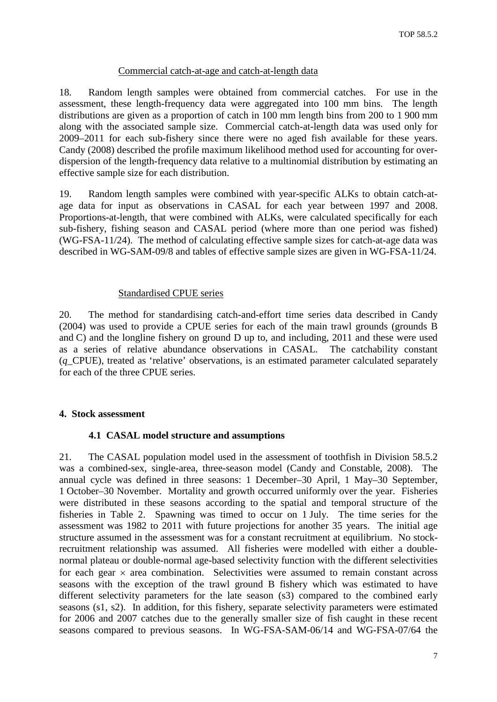# Commercial catch-at-age and catch-at-length data

<span id="page-8-0"></span>18. Random length samples were obtained from commercial catches. For use in the assessment, these length-frequency data were aggregated into 100 mm bins. The length distributions are given as a proportion of catch in 100 mm length bins from 200 to 1 900 mm along with the associated sample size. Commercial catch-at-length data was used only for 2009–2011 for each sub-fishery since there were no aged fish available for these years. Candy (2008) described the profile maximum likelihood method used for accounting for overdispersion of the length-frequency data relative to a multinomial distribution by estimating an effective sample size for each distribution.

19. Random length samples were combined with year-specific ALKs to obtain catch-atage data for input as observations in CASAL for each year between 1997 and 2008. Proportions-at-length, that were combined with ALKs, were calculated specifically for each sub-fishery, fishing season and CASAL period (where more than one period was fished) (WG-FSA-11/24). The method of calculating effective sample sizes for catch-at-age data was described in WG-SAM-09/8 and tables of effective sample sizes are given in WG-FSA-11/24.

# Standardised CPUE series

20. The method for standardising catch-and-effort time series data described in Candy (2004) was used to provide a CPUE series for each of the main trawl grounds (grounds B and C) and the longline fishery on ground D up to, and including, 2011 and these were used as a series of relative abundance observations in CASAL. The catchability constant (*q*\_CPUE), treated as 'relative' observations, is an estimated parameter calculated separately for each of the three CPUE series.

# **4. Stock assessment**

# **4.1 CASAL model structure and assumptions**

21. The CASAL population model used in the assessment of toothfish in Division 58.5.2 was a combined-sex, single-area, three-season model (Candy and Constable, 2008). The annual cycle was defined in three seasons: 1 December–30 April, 1 May–30 September, 1 October–30 November. Mortality and growth occurred uniformly over the year. Fisheries were distributed in these seasons according to the spatial and temporal structure of the fisheries in Table 2. Spawning was timed to occur on 1 July. The time series for the assessment was 1982 to 2011 with future projections for another 35 years. The initial age structure assumed in the assessment was for a constant recruitment at equilibrium. No stockrecruitment relationship was assumed. All fisheries were modelled with either a doublenormal plateau or double-normal age-based selectivity function with the different selectivities for each gear  $\times$  area combination. Selectivities were assumed to remain constant across seasons with the exception of the trawl ground B fishery which was estimated to have different selectivity parameters for the late season (s3) compared to the combined early seasons (s1, s2). In addition, for this fishery, separate selectivity parameters were estimated for 2006 and 2007 catches due to the generally smaller size of fish caught in these recent seasons compared to previous seasons. In WG-FSA-SAM-06/14 and WG-FSA-07/64 the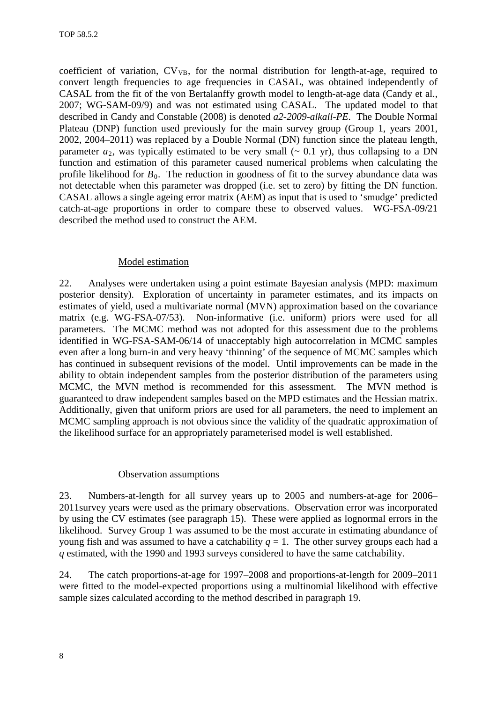coefficient of variation,  $CV_{VB}$ , for the normal distribution for length-at-age, required to convert length frequencies to age frequencies in CASAL, was obtained independently of CASAL from the fit of the von Bertalanffy growth model to length-at-age data (Candy et al., 2007; WG-SAM-09/9) and was not estimated using CASAL. The updated model to that described in Candy and Constable (2008) is denoted *a2-2009-alkall-PE*. The Double Normal Plateau (DNP) function used previously for the main survey group (Group 1, years 2001, 2002, 2004–2011) was replaced by a Double Normal (DN) function since the plateau length, parameter  $a_2$ , was typically estimated to be very small ( $\sim 0.1$  yr), thus collapsing to a DN function and estimation of this parameter caused numerical problems when calculating the profile likelihood for  $B_0$ . The reduction in goodness of fit to the survey abundance data was not detectable when this parameter was dropped (i.e. set to zero) by fitting the DN function. CASAL allows a single ageing error matrix (AEM) as input that is used to 'smudge' predicted catch-at-age proportions in order to compare these to observed values. WG-FSA-09/21 described the method used to construct the AEM.

# Model estimation

22. Analyses were undertaken using a point estimate Bayesian analysis (MPD: maximum posterior density). Exploration of uncertainty in parameter estimates, and its impacts on estimates of yield, used a multivariate normal (MVN) approximation based on the covariance matrix (e.g. WG-FSA-07/53). Non-informative (i.e. uniform) priors were used for all parameters. The MCMC method was not adopted for this assessment due to the problems identified in WG-FSA-SAM-06/14 of unacceptably high autocorrelation in MCMC samples even after a long burn-in and very heavy 'thinning' of the sequence of MCMC samples which has continued in subsequent revisions of the model. Until improvements can be made in the ability to obtain independent samples from the posterior distribution of the parameters using MCMC, the MVN method is recommended for this assessment. The MVN method is guaranteed to draw independent samples based on the MPD estimates and the Hessian matrix. Additionally, given that uniform priors are used for all parameters, the need to implement an MCMC sampling approach is not obvious since the validity of the quadratic approximation of the likelihood surface for an appropriately parameterised model is well established.

# Observation assumptions

23. Numbers-at-length for all survey years up to 2005 and numbers-at-age for 2006– 2011survey years were used as the primary observations. Observation error was incorporated by using the CV estimates (see paragraph 15). These were applied as lognormal errors in the likelihood. Survey Group 1 was assumed to be the most accurate in estimating abundance of young fish and was assumed to have a catchability  $q = 1$ . The other survey groups each had a *q* estimated, with the 1990 and 1993 surveys considered to have the same catchability.

24. The catch proportions-at-age for 1997–2008 and proportions-at-length for 2009–2011 were fitted to the model-expected proportions using a multinomial likelihood with effective sample sizes calculated according to the method described in paragraph 19.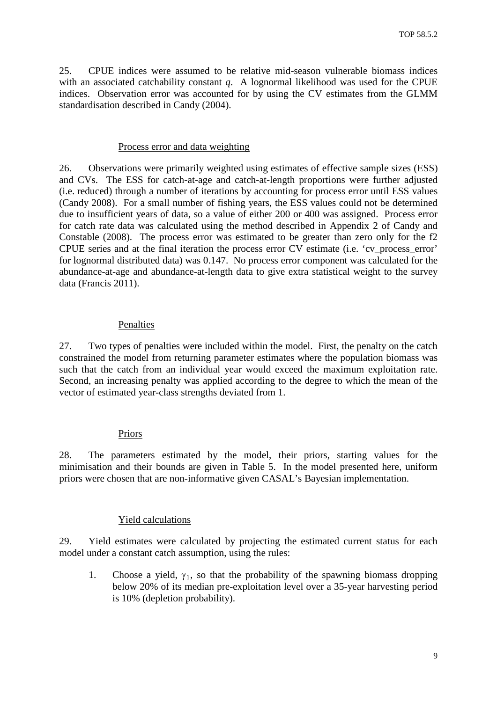25. CPUE indices were assumed to be relative mid-season vulnerable biomass indices with an associated catchability constant *q*. A lognormal likelihood was used for the CPUE indices. Observation error was accounted for by using the CV estimates from the GLMM standardisation described in Candy (2004).

#### Process error and data weighting

26. Observations were primarily weighted using estimates of effective sample sizes (ESS) and CVs. The ESS for catch-at-age and catch-at-length proportions were further adjusted (i.e. reduced) through a number of iterations by accounting for process error until ESS values (Candy 2008). For a small number of fishing years, the ESS values could not be determined due to insufficient years of data, so a value of either 200 or 400 was assigned. Process error for catch rate data was calculated using the method described in Appendix 2 of Candy and Constable (2008). The process error was estimated to be greater than zero only for the f2 CPUE series and at the final iteration the process error CV estimate (i.e. 'cv\_process\_error' for lognormal distributed data) was 0.147. No process error component was calculated for the abundance-at-age and abundance-at-length data to give extra statistical weight to the survey data (Francis 2011).

### Penalties

27. Two types of penalties were included within the model. First, the penalty on the catch constrained the model from returning parameter estimates where the population biomass was such that the catch from an individual year would exceed the maximum exploitation rate. Second, an increasing penalty was applied according to the degree to which the mean of the vector of estimated year-class strengths deviated from 1.

# Priors

28. The parameters estimated by the model, their priors, starting values for the minimisation and their bounds are given in Table 5. In the model presented here, uniform priors were chosen that are non-informative given CASAL's Bayesian implementation.

# Yield calculations

29. Yield estimates were calculated by projecting the estimated current status for each model under a constant catch assumption, using the rules:

1. Choose a yield,  $\gamma_1$ , so that the probability of the spawning biomass dropping below 20% of its median pre-exploitation level over a 35-year harvesting period is 10% (depletion probability).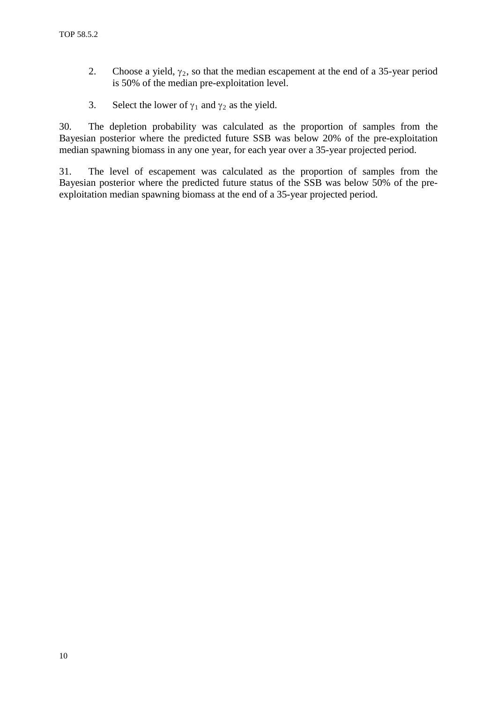- 2. Choose a yield,  $\gamma_2$ , so that the median escapement at the end of a 35-year period is 50% of the median pre-exploitation level.
- 3. Select the lower of  $\gamma_1$  and  $\gamma_2$  as the yield.

30. The depletion probability was calculated as the proportion of samples from the Bayesian posterior where the predicted future SSB was below 20% of the pre-exploitation median spawning biomass in any one year, for each year over a 35-year projected period.

31. The level of escapement was calculated as the proportion of samples from the Bayesian posterior where the predicted future status of the SSB was below 50% of the preexploitation median spawning biomass at the end of a 35-year projected period.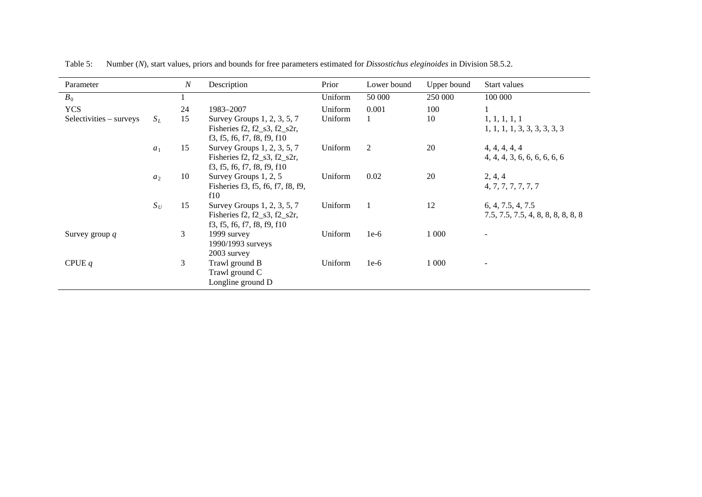| Parameter               |                | $\boldsymbol{N}$ | Description                                                                                   | Prior   | Lower bound | Upper bound | Start values                                            |
|-------------------------|----------------|------------------|-----------------------------------------------------------------------------------------------|---------|-------------|-------------|---------------------------------------------------------|
| $B_0$                   |                |                  |                                                                                               | Uniform | 50 000      | 250 000     | 100 000                                                 |
| <b>YCS</b>              |                | 24               | 1983-2007                                                                                     | Uniform | 0.001       | 100         |                                                         |
| Selectivities – surveys | $S_L$          | 15               | Survey Groups 1, 2, 3, 5, 7<br>Fisheries $f2, f2_s3, f2_s2r$ ,<br>f3, f5, f6, f7, f8, f9, f10 | Uniform |             | 10          | 1, 1, 1, 1, 1<br>1, 1, 1, 1, 3, 3, 3, 3, 3, 3           |
|                         | $a_1$          | 15               | Survey Groups 1, 2, 3, 5, 7<br>Fisheries $f2, f2_s3, f2_s2r$ ,<br>f3, f5, f6, f7, f8, f9, f10 | Uniform | 2           | 20          | 4, 4, 4, 4, 4<br>4, 4, 4, 3, 6, 6, 6, 6, 6, 6           |
|                         | a <sub>2</sub> | 10               | Survey Groups 1, 2, 5<br>Fisheries f3, f5, f6, f7, f8, f9,<br>f10                             | Uniform | 0.02        | 20          | 2, 4, 4<br>4, 7, 7, 7, 7, 7, 7                          |
|                         | $S_U$          | 15               | Survey Groups 1, 2, 3, 5, 7<br>Fisheries $f2, f2_s3, f2_s2r$ ,<br>f3, f5, f6, f7, f8, f9, f10 | Uniform |             | 12          | 6, 4, 7.5, 4, 7.5<br>7.5, 7.5, 7.5, 4, 8, 8, 8, 8, 8, 8 |
| Survey group $q$        |                | 3                | 1999 survey<br>1990/1993 surveys<br>2003 survey                                               | Uniform | $1e-6$      | 1 0 0 0     |                                                         |
| CPUE $q$                |                | 3                | Trawl ground B<br>Trawl ground C<br>Longline ground D                                         | Uniform | $1e-6$      | 1 0 0 0     |                                                         |

Table 5: Number (*N*), start values, priors and bounds for free parameters estimated for *Dissostichus eleginoides* in Division 58.5.2.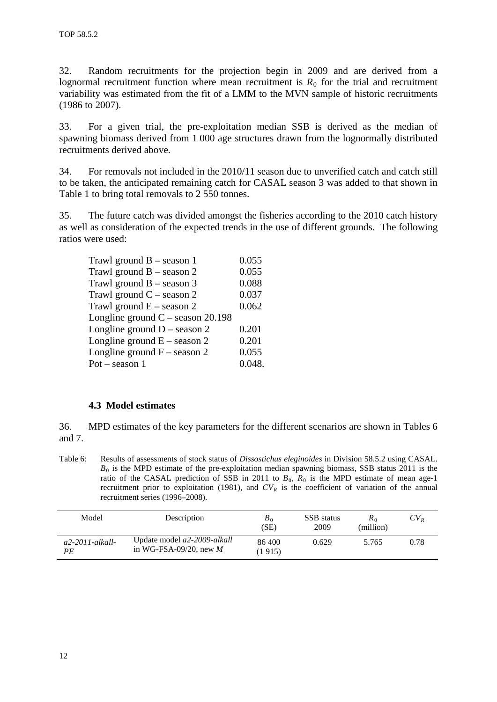32. Random recruitments for the projection begin in 2009 and are derived from a lognormal recruitment function where mean recruitment is  $R_0$  for the trial and recruitment variability was estimated from the fit of a LMM to the MVN sample of historic recruitments (1986 to 2007).

33. For a given trial, the pre-exploitation median SSB is derived as the median of spawning biomass derived from 1 000 age structures drawn from the lognormally distributed recruitments derived above.

34. For removals not included in the 2010/11 season due to unverified catch and catch still to be taken, the anticipated remaining catch for CASAL season 3 was added to that shown in Table 1 to bring total removals to 2 550 tonnes.

35. The future catch was divided amongst the fisheries according to the 2010 catch history as well as consideration of the expected trends in the use of different grounds. The following ratios were used:

| Trawl ground $B$ – season 1         | 0.055  |
|-------------------------------------|--------|
| Trawl ground $B -$ season 2         | 0.055  |
| Trawl ground $B -$ season 3         | 0.088  |
| Trawl ground $C$ – season 2         | 0.037  |
| Trawl ground $E -$ season 2         | 0.062  |
| Longline ground $C$ – season 20.198 |        |
| Longline ground $D$ – season 2      | 0.201  |
| Longline ground $E$ – season 2      | 0.201  |
| Longline ground $F -$ season 2      | 0.055  |
| $Pot - season 1$                    | 0.048. |
|                                     |        |

# **4.3 Model estimates**

36. MPD estimates of the key parameters for the different scenarios are shown in Tables 6 and 7.

Table 6: Results of assessments of stock status of *Dissostichus eleginoides* in Division 58.5.2 using CASAL.  $B<sub>0</sub>$  is the MPD estimate of the pre-exploitation median spawning biomass, SSB status 2011 is the ratio of the CASAL prediction of SSB in 2011 to  $B_0$ ,  $R_0$  is the MPD estimate of mean age-1 recruitment prior to exploitation (1981), and  $CV_R$  is the coefficient of variation of the annual recruitment series (1996–2008).

| Model                   | Description                                             | $B_0$<br>(SE)     | SSB status<br>2009 | $R_0$<br>(million) | $CV_R$ |
|-------------------------|---------------------------------------------------------|-------------------|--------------------|--------------------|--------|
| $a2-2011-alkall-$<br>PE | Update model a2-2009-alkall<br>in WG-FSA-09/20, new $M$ | 86 400<br>(1 915) | 0.629              | 5.765              | 0.78   |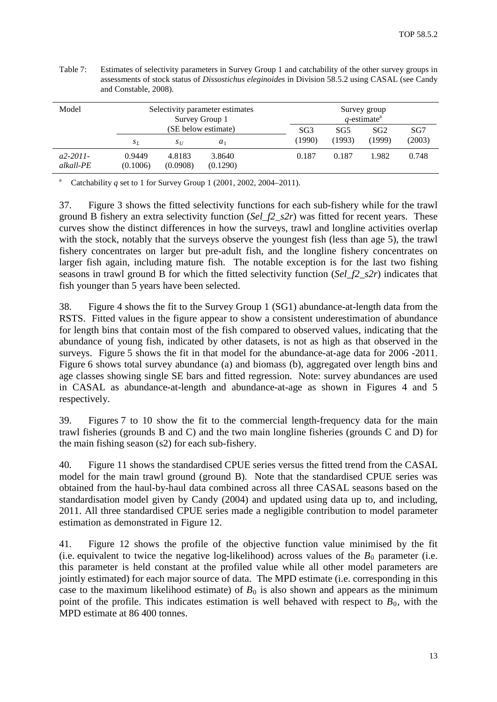| Model                   |                    | Survey Group 1     | Selectivity parameter estimates |                           |               | Survey group<br>$q$ -estimate <sup>a</sup> |               |  |  |
|-------------------------|--------------------|--------------------|---------------------------------|---------------------------|---------------|--------------------------------------------|---------------|--|--|
|                         | $S_L$              | $S_{U}$            | (SE below estimate)<br>$a_1$    | SG <sub>3</sub><br>(1990) | SG5<br>(1993) | SG <sub>2</sub><br>(1999)                  | SG7<br>(2003) |  |  |
| $a2-2011-$<br>alkall-PE | 0.9449<br>(0.1006) | 4.8183<br>(0.0908) | 3.8640<br>(0.1290)              | 0.187                     | 0.187         | 1.982                                      | 0.748         |  |  |

Table 7: Estimates of selectivity parameters in Survey Group 1 and catchability of the other survey groups in assessments of stock status of *Dissostichus eleginoides* in Division 58.5.2 using CASAL (see Candy and Constable, 2008).

<sup>a</sup> Catchability *q* set to 1 for Survey Group 1 (2001, 2002, 2004–2011).

37. Figure 3 shows the fitted selectivity functions for each sub-fishery while for the trawl ground B fishery an extra selectivity function (*Sel\_f2\_s2r*) was fitted for recent years. These curves show the distinct differences in how the surveys, trawl and longline activities overlap with the stock, notably that the surveys observe the youngest fish (less than age 5), the trawl fishery concentrates on larger but pre-adult fish, and the longline fishery concentrates on larger fish again, including mature fish. The notable exception is for the last two fishing seasons in trawl ground B for which the fitted selectivity function (*Sel\_f2\_s2r*) indicates that fish younger than 5 years have been selected.

38. Figure 4 shows the fit to the Survey Group 1 (SG1) abundance-at-length data from the RSTS. Fitted values in the figure appear to show a consistent underestimation of abundance for length bins that contain most of the fish compared to observed values, indicating that the abundance of young fish, indicated by other datasets, is not as high as that observed in the surveys. Figure 5 shows the fit in that model for the abundance-at-age data for 2006 -2011. Figure 6 shows total survey abundance (a) and biomass (b), aggregated over length bins and age classes showing single SE bars and fitted regression. Note: survey abundances are used in CASAL as abundance-at-length and abundance-at-age as shown in Figures 4 and 5 respectively.

39. Figures 7 to 10 show the fit to the commercial length-frequency data for the main trawl fisheries (grounds B and C) and the two main longline fisheries (grounds C and D) for the main fishing season (s2) for each sub-fishery.

40. Figure 11 shows the standardised CPUE series versus the fitted trend from the CASAL model for the main trawl ground (ground B). Note that the standardised CPUE series was obtained from the haul-by-haul data combined across all three CASAL seasons based on the standardisation model given by Candy (2004) and updated using data up to, and including, 2011. All three standardised CPUE series made a negligible contribution to model parameter estimation as demonstrated in Figure 12.

41. Figure 12 shows the profile of the objective function value minimised by the fit (i.e. equivalent to twice the negative log-likelihood) across values of the  $B_0$  parameter (i.e. this parameter is held constant at the profiled value while all other model parameters are jointly estimated) for each major source of data. The MPD estimate (i.e. corresponding in this case to the maximum likelihood estimate) of  $B_0$  is also shown and appears as the minimum point of the profile. This indicates estimation is well behaved with respect to  $B_0$ , with the MPD estimate at 86 400 tonnes.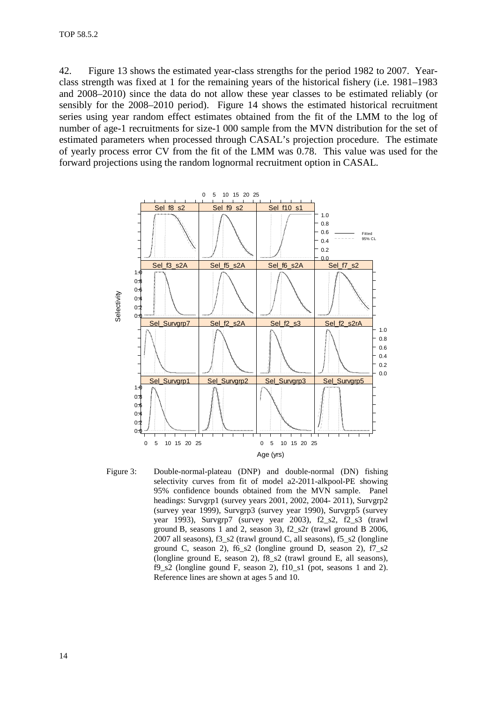42. Figure 13 shows the estimated year-class strengths for the period 1982 to 2007. Yearclass strength was fixed at 1 for the remaining years of the historical fishery (i.e. 1981–1983 and 2008–2010) since the data do not allow these year classes to be estimated reliably (or sensibly for the 2008–2010 period). Figure 14 shows the estimated historical recruitment series using year random effect estimates obtained from the fit of the LMM to the log of number of age-1 recruitments for size-1 000 sample from the MVN distribution for the set of estimated parameters when processed through CASAL's projection procedure. The estimate of yearly process error CV from the fit of the LMM was 0.78. This value was used for the forward projections using the random lognormal recruitment option in CASAL.



Figure 3: Double-normal-plateau (DNP) and double-normal (DN) fishing selectivity curves from fit of model a2-2011-alkpool-PE showing 95% confidence bounds obtained from the MVN sample. Panel headings: Survgrp1 (survey years 2001, 2002, 2004- 2011), Survgrp2 (survey year 1999), Survgrp3 (survey year 1990), Survgrp5 (survey year 1993), Survgrp7 (survey year 2003), f2\_s2, f2\_s3 (trawl ground B, seasons 1 and 2, season 3), f2\_s2r (trawl ground B 2006, 2007 all seasons), f3\_s2 (trawl ground C, all seasons), f5\_s2 (longline ground C, season 2), f6\_s2 (longline ground D, season 2), f7\_s2 (longline ground E, season 2), f8\_s2 (trawl ground E, all seasons), f9\_s2 (longline gound F, season 2), f10\_s1 (pot, seasons 1 and 2). Reference lines are shown at ages 5 and 10.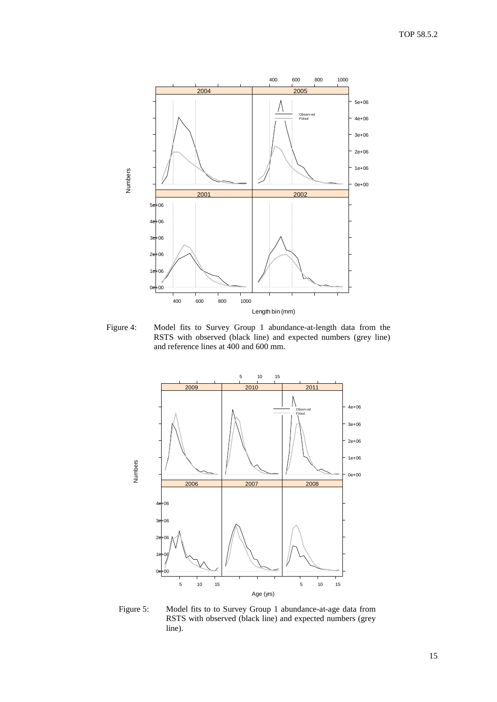

Figure 4: Model fits to Survey Group 1 abundance-at-length data from the RSTS with observed (black line) and expected numbers (grey line) and reference lines at 400 and 600 mm.



Figure 5: Model fits to to Survey Group 1 abundance-at-age data from RSTS with observed (black line) and expected numbers (grey line).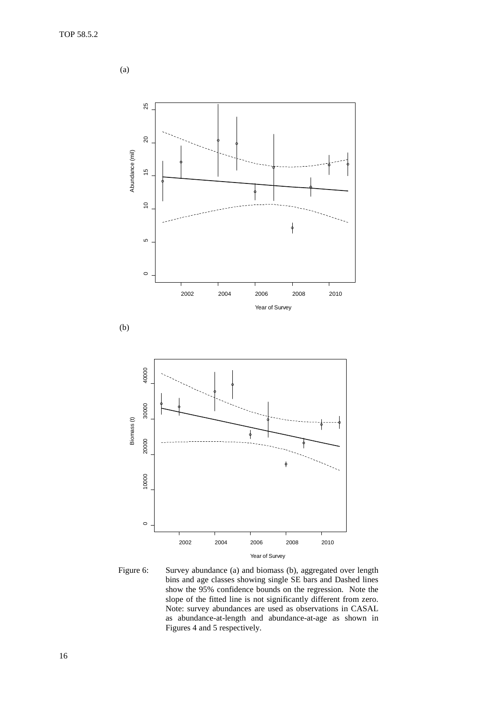(a)







Figure 6: Survey abundance (a) and biomass (b), aggregated over length bins and age classes showing single SE bars and Dashed lines show the 95% confidence bounds on the regression. Note the slope of the fitted line is not significantly different from zero. Note: survey abundances are used as observations in CASAL as abundance-at-length and abundance-at-age as shown in Figures 4 and 5 respectively.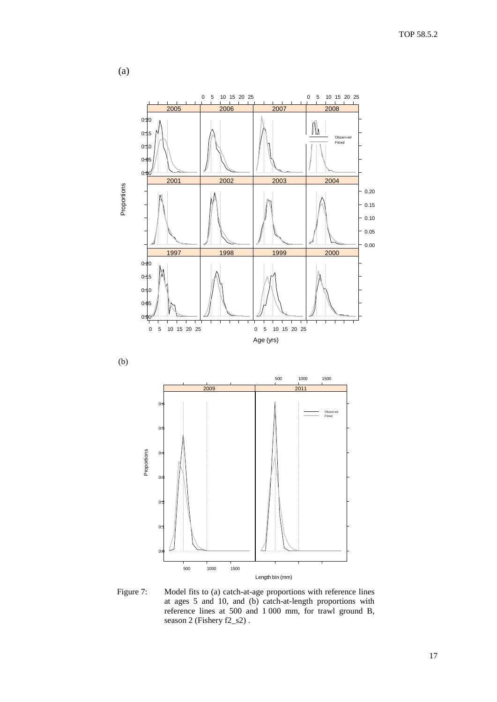

(b)



Figure 7: Model fits to (a) catch-at-age proportions with reference lines at ages 5 and 10, and (b) catch-at-length proportions with reference lines at 500 and 1 000 mm, for trawl ground B, season 2 (Fishery f2\_s2) .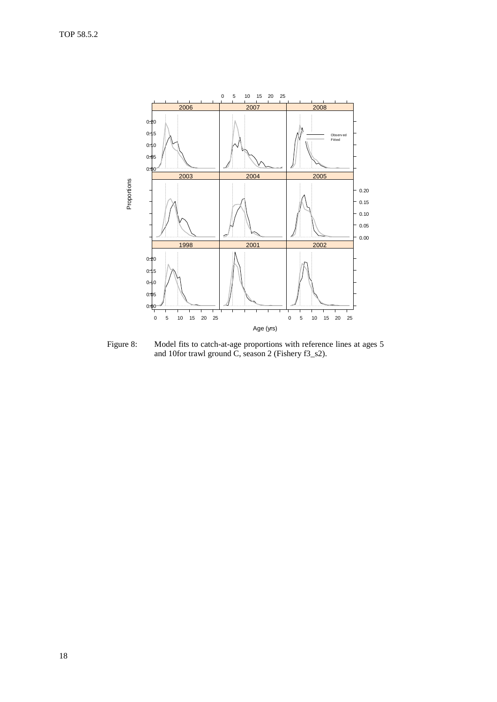

Figure 8: Model fits to catch-at-age proportions with reference lines at ages 5 and 10for trawl ground C, season 2 (Fishery f3\_s2).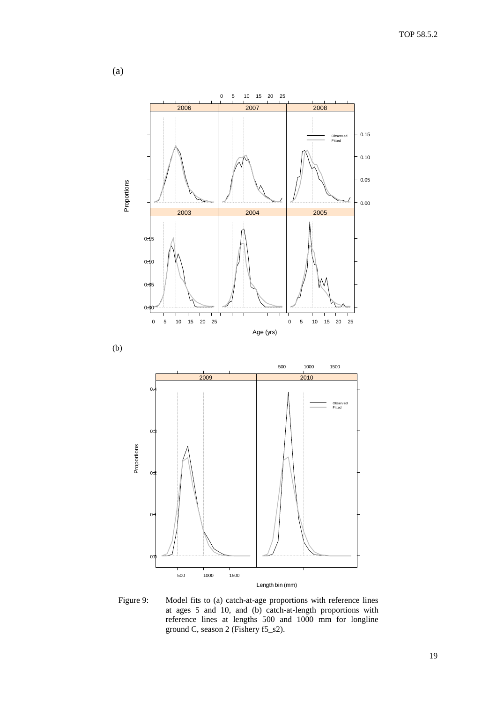

Figure 9: Model fits to (a) catch-at-age proportions with reference lines at ages 5 and 10, and (b) catch-at-length proportions with reference lines at lengths 500 and 1000 mm for longline ground C, season 2 (Fishery f5\_s2).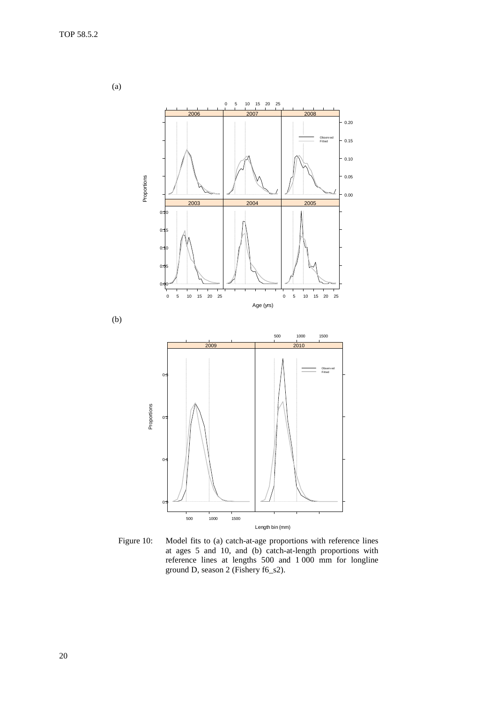(a)

(b)



Figure 10: Model fits to (a) catch-at-age proportions with reference lines at ages 5 and 10, and (b) catch-at-length proportions with reference lines at lengths 500 and 1 000 mm for longline ground D, season 2 (Fishery f6\_s2).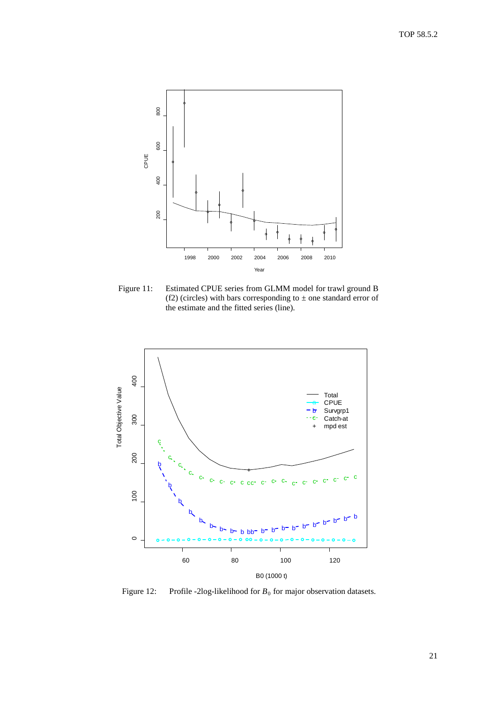

Figure 11: Estimated CPUE series from GLMM model for trawl ground B (f2) (circles) with bars corresponding to  $\pm$  one standard error of the estimate and the fitted series (line).



Figure 12: Profile -2log-likelihood for  $B_0$  for major observation datasets.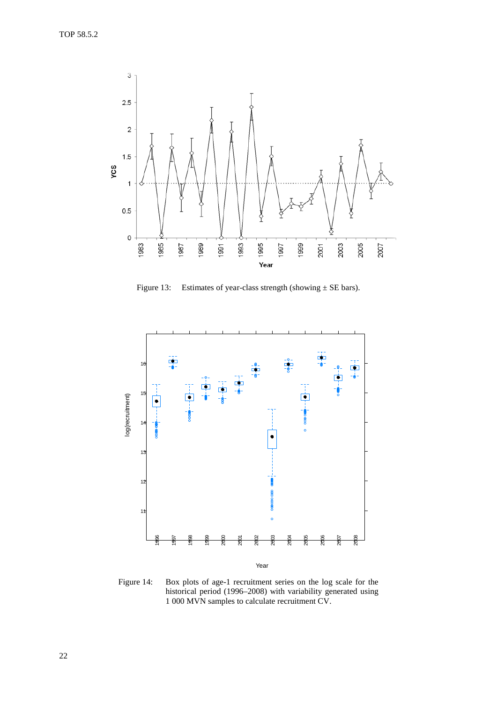

Figure 13: Estimates of year-class strength (showing  $\pm$  SE bars).



Figure 14: Box plots of age-1 recruitment series on the log scale for the historical period (1996–2008) with variability generated using 000 MVN samples to calculate recruitment CV.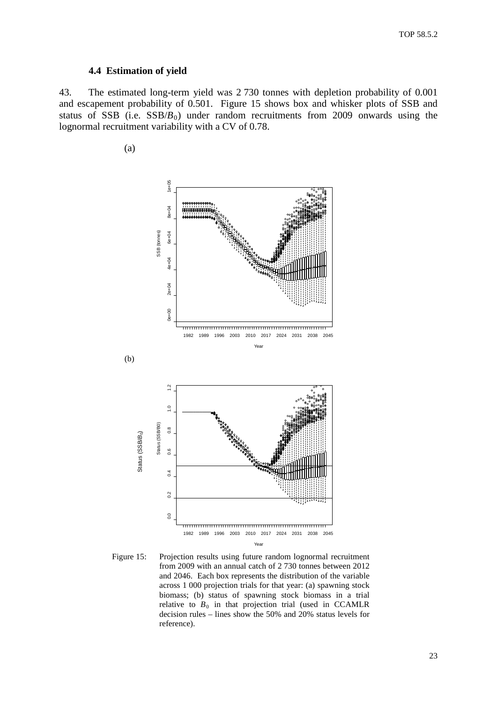### **4.4 Estimation of yield**

43. The estimated long-term yield was 2 730 tonnes with depletion probability of 0.001 and escapement probability of 0.501. Figure 15 shows box and whisker plots of SSB and status of SSB (i.e.  $SSB/B<sub>0</sub>$ ) under random recruitments from 2009 onwards using the lognormal recruitment variability with a CV of 0.78.

(a)



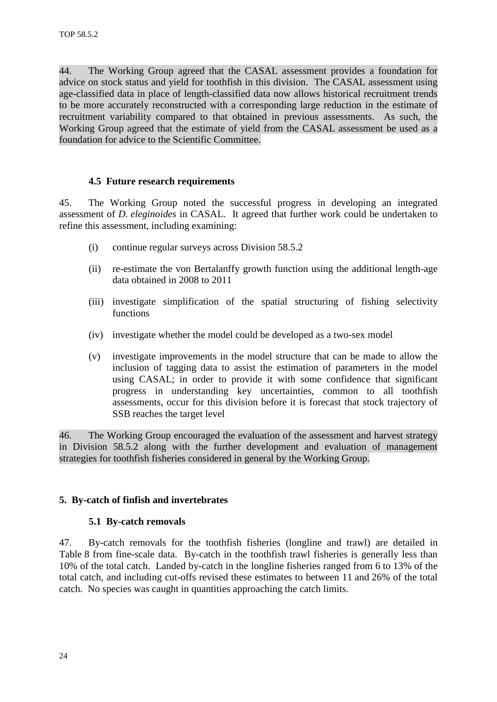<span id="page-25-0"></span>44. The Working Group agreed that the CASAL assessment provides a foundation for advice on stock status and yield for toothfish in this division. The CASAL assessment using age-classified data in place of length-classified data now allows historical recruitment trends to be more accurately reconstructed with a corresponding large reduction in the estimate of recruitment variability compared to that obtained in previous assessments. As such, the Working Group agreed that the estimate of yield from the CASAL assessment be used as a foundation for advice to the Scientific Committee.

# **4.5 Future research requirements**

45. The Working Group noted the successful progress in developing an integrated assessment of *D. eleginoides* in CASAL. It agreed that further work could be undertaken to refine this assessment, including examining:

- (i) continue regular surveys across Division 58.5.2
- (ii) re-estimate the von Bertalanffy growth function using the additional length-age data obtained in 2008 to 2011
- (iii) investigate simplification of the spatial structuring of fishing selectivity functions
- (iv) investigate whether the model could be developed as a two-sex model
- (v) investigate improvements in the model structure that can be made to allow the inclusion of tagging data to assist the estimation of parameters in the model using CASAL; in order to provide it with some confidence that significant progress in understanding key uncertainties, common to all toothfish assessments, occur for this division before it is forecast that stock trajectory of SSB reaches the target level

46. The Working Group encouraged the evaluation of the assessment and harvest strategy in Division 58.5.2 along with the further development and evaluation of management strategies for toothfish fisheries considered in general by the Working Group.

# **5. By-catch of finfish and invertebrates**

# **5.1 By-catch removals**

47. By-catch removals for the toothfish fisheries (longline and trawl) are detailed in Table 8 from fine-scale data. By-catch in the toothfish trawl fisheries is generally less than 10% of the total catch. Landed by-catch in the longline fisheries ranged from 6 to 13% of the total catch, and including cut-offs revised these estimates to between 11 and 26% of the total catch. No species was caught in quantities approaching the catch limits.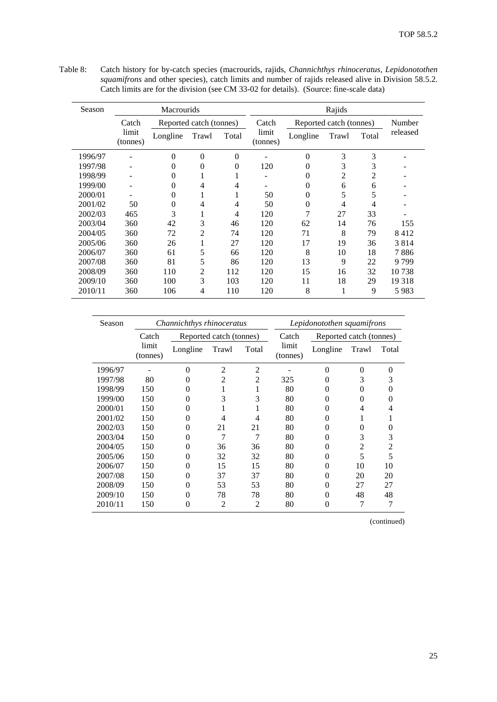| Table 8: | Catch history for by-catch species (macrourids, rajids, <i>Channichthys rhinoceratus</i> , <i>Lepidonotothen</i> |
|----------|------------------------------------------------------------------------------------------------------------------|
|          | <i>squamifrons</i> and other species), catch limits and number of rajids released alive in Division 58.5.2.      |
|          | Catch limits are for the division (see CM 33-02 for details). (Source: fine-scale data)                          |

| Season  |                   | Macrourids |                         |          | Rajids            |                |                         |       |          |
|---------|-------------------|------------|-------------------------|----------|-------------------|----------------|-------------------------|-------|----------|
|         | Catch             |            | Reported catch (tonnes) |          | Catch             |                | Reported catch (tonnes) |       | Number   |
|         | limit<br>(tonnes) | Longline   | Trawl                   | Total    | limit<br>(tonnes) | Longline       | Trawl                   | Total | released |
| 1996/97 |                   | $\theta$   | $\theta$                | $\theta$ |                   | $\theta$       | 3                       | 3     |          |
| 1997/98 |                   | $\theta$   | $\theta$                | 0        | 120               | $\overline{0}$ | 3                       | 3     |          |
| 1998/99 |                   | 0          |                         |          |                   | $\overline{0}$ | 2                       | 2     |          |
| 1999/00 |                   | $\theta$   | 4                       | 4        |                   | $\overline{0}$ | 6                       | 6     |          |
| 2000/01 |                   | 0          | 1                       | 1        | 50                | $\overline{0}$ | 5                       | 5     |          |
| 2001/02 | 50                | $\theta$   | 4                       | 4        | 50                | $\overline{0}$ | 4                       | 4     |          |
| 2002/03 | 465               | 3          | 1                       | 4        | 120               | 7              | 27                      | 33    |          |
| 2003/04 | 360               | 42         | 3                       | 46       | 120               | 62             | 14                      | 76    | 155      |
| 2004/05 | 360               | 72         | $\overline{2}$          | 74       | 120               | 71             | 8                       | 79    | 8412     |
| 2005/06 | 360               | 26         | 1<br>н                  | 27       | 120               | 17             | 19                      | 36    | 3814     |
| 2006/07 | 360               | 61         | 5                       | 66       | 120               | 8              | 10                      | 18    | 7886     |
| 2007/08 | 360               | 81         | 5                       | 86       | 120               | 13             | 9                       | 22    | 9799     |
| 2008/09 | 360               | 110        | $\overline{2}$          | 112      | 120               | 15             | 16                      | 32    | 10 738   |
| 2009/10 | 360               | 100        | 3                       | 103      | 120               | 11             | 18                      | 29    | 19 3 18  |
| 2010/11 | 360               | 106        | 4                       | 110      | 120               | 8              | 1                       | 9     | 5983     |

| Season  |                            | Channichthys rhinoceratus |                | Lepidonotothen squamifrons |                   |                         |          |          |
|---------|----------------------------|---------------------------|----------------|----------------------------|-------------------|-------------------------|----------|----------|
|         | Catch<br>limit<br>(tonnes) | Reported catch (tonnes)   |                |                            | Catch             | Reported catch (tonnes) |          |          |
|         |                            | Longline                  | Trawl          | Total                      | limit<br>(tonnes) | Longline                | Trawl    | Total    |
| 1996/97 |                            | $\theta$                  | $\overline{2}$ | $\overline{2}$             |                   | $\theta$                | $\theta$ | $\theta$ |
| 1997/98 | 80                         | $\Omega$                  | 2              | 2                          | 325               | 0                       | 3        | 3        |
| 1998/99 | 150                        | 0                         | 1              | 1                          | 80                | 0                       | 0        | 0        |
| 1999/00 | 150                        | $\Omega$                  | 3              | 3                          | 80                | 0                       | 0        | $\theta$ |
| 2000/01 | 150                        | $\Omega$                  |                |                            | 80                | 0                       | 4        | 4        |
| 2001/02 | 150                        | $\Omega$                  | 4              | 4                          | 80                | 0                       | 1        |          |
| 2002/03 | 150                        | $\Omega$                  | 21             | 21                         | 80                | 0                       | 0        | $\theta$ |
| 2003/04 | 150                        | 0                         | 7              | 7                          | 80                | 0                       | 3        | 3        |
| 2004/05 | 150                        | $\Omega$                  | 36             | 36                         | 80                | 0                       | 2        | 2        |
| 2005/06 | 150                        | $\Omega$                  | 32             | 32                         | 80                | 0                       | 5        | 5        |
| 2006/07 | 150                        | $\Omega$                  | 15             | 15                         | 80                | 0                       | 10       | 10       |
| 2007/08 | 150                        | 0                         | 37             | 37                         | 80                | $\Omega$                | 20       | 20       |
| 2008/09 | 150                        | 0                         | 53             | 53                         | 80                | 0                       | 27       | 27       |
| 2009/10 | 150                        | $\Omega$                  | 78             | 78                         | 80                | 0                       | 48       | 48       |
| 2010/11 | 150                        | 0                         | 2              | 2                          | 80                | 0                       | 7        | 7        |

(continued)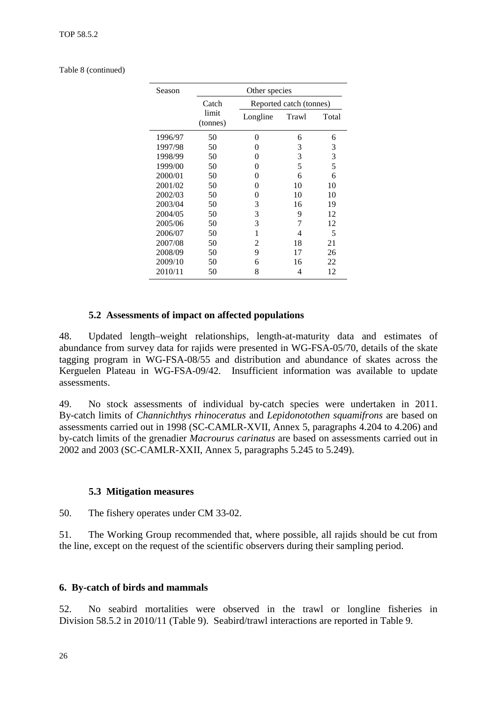<span id="page-27-0"></span>Table 8 (continued)

| Season  | Other species     |                         |       |       |  |  |  |
|---------|-------------------|-------------------------|-------|-------|--|--|--|
|         | Catch             | Reported catch (tonnes) |       |       |  |  |  |
|         | limit<br>(tonnes) | Longline                | Trawl | Total |  |  |  |
| 1996/97 | 50                | 0                       | 6     | 6     |  |  |  |
| 1997/98 | 50                | 0                       | 3     | 3     |  |  |  |
| 1998/99 | 50                | $\theta$                | 3     | 3     |  |  |  |
| 1999/00 | 50                | 0                       | 5     | 5     |  |  |  |
| 2000/01 | 50                | 0                       | 6     | 6     |  |  |  |
| 2001/02 | 50                | 0                       | 10    | 10    |  |  |  |
| 2002/03 | 50                | $\Omega$                | 10    | 10    |  |  |  |
| 2003/04 | 50                | 3                       | 16    | 19    |  |  |  |
| 2004/05 | 50                | 3                       | 9     | 12    |  |  |  |
| 2005/06 | 50                | 3                       | 7     | 12    |  |  |  |
| 2006/07 | 50                | 1                       | 4     | 5     |  |  |  |
| 2007/08 | 50                | 2                       | 18    | 21    |  |  |  |
| 2008/09 | 50                | 9                       | 17    | 26    |  |  |  |
| 2009/10 | 50                | 6                       | 16    | 22    |  |  |  |
| 2010/11 | 50                | 8                       | 4     | 12    |  |  |  |

# **5.2 Assessments of impact on affected populations**

48. Updated length–weight relationships, length-at-maturity data and estimates of abundance from survey data for rajids were presented in WG-FSA-05/70, details of the skate tagging program in WG-FSA-08/55 and distribution and abundance of skates across the Kerguelen Plateau in WG-FSA-09/42. Insufficient information was available to update assessments.

49. No stock assessments of individual by-catch species were undertaken in 2011. By-catch limits of *Channichthys rhinoceratus* and *Lepidonotothen squamifrons* are based on assessments carried out in 1998 (SC-CAMLR-XVII, Annex 5, paragraphs 4.204 to 4.206) and by-catch limits of the grenadier *Macrourus carinatus* are based on assessments carried out in 2002 and 2003 (SC-CAMLR-XXII, Annex 5, paragraphs 5.245 to 5.249).

#### **5.3 Mitigation measures**

50. The fishery operates under CM 33-02.

51. The Working Group recommended that, where possible, all rajids should be cut from the line, except on the request of the scientific observers during their sampling period.

# **6. By-catch of birds and mammals**

52. No seabird mortalities were observed in the trawl or longline fisheries in Division 58.5.2 in 2010/11 (Table 9). Seabird/trawl interactions are reported in Table 9.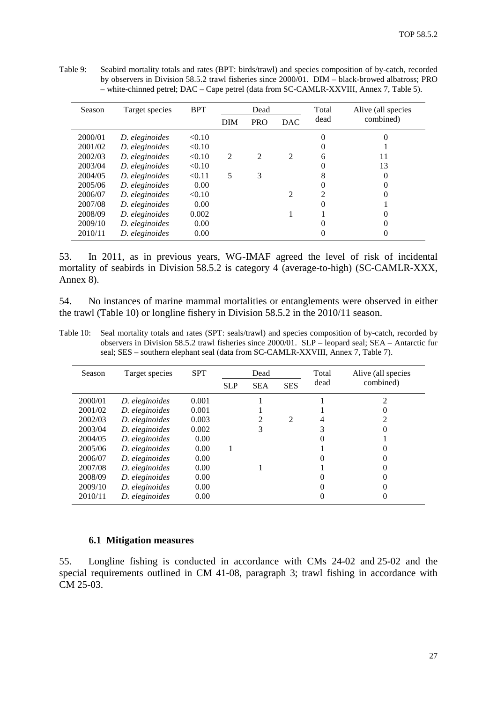| Table 9: | Seabird mortality totals and rates (BPT: birds/trawl) and species composition of by-catch, recorded |
|----------|-----------------------------------------------------------------------------------------------------|
|          | by observers in Division 58.5.2 trawl fisheries since 2000/01. DIM – black-browed albatross; PRO    |
|          | - white-chinned petrel; DAC - Cape petrel (data from SC-CAMLR-XXVIII, Annex 7, Table 5).            |

| Season  | Target species | <b>BPT</b> | Dead           |                | Total      | Alive (all species |           |
|---------|----------------|------------|----------------|----------------|------------|--------------------|-----------|
|         |                |            | <b>DIM</b>     | <b>PRO</b>     | <b>DAC</b> | dead               | combined) |
| 2000/01 | D. eleginoides | < 0.10     |                |                |            | 0                  |           |
| 2001/02 | D. eleginoides | < 0.10     |                |                |            | 0                  |           |
| 2002/03 | D. eleginoides | < 0.10     | $\mathfrak{D}$ | $\mathfrak{D}$ | 2          | 6                  | 11        |
| 2003/04 | D. eleginoides | < 0.10     |                |                |            |                    | 13        |
| 2004/05 | D. eleginoides | < 0.11     | 5              | 3              |            | 8                  | $\theta$  |
| 2005/06 | D. eleginoides | 0.00       |                |                |            |                    |           |
| 2006/07 | D. eleginoides | < 0.10     |                |                | 2          | 2                  | $\theta$  |
| 2007/08 | D. eleginoides | 0.00       |                |                |            |                    |           |
| 2008/09 | D. eleginoides | 0.002      |                |                |            |                    |           |
| 2009/10 | D. eleginoides | 0.00       |                |                |            |                    |           |
| 2010/11 | D. eleginoides | 0.00       |                |                |            |                    | 0         |

53. In 2011, as in previous years, WG-IMAF agreed the level of risk of incidental mortality of seabirds in Division 58.5.2 is category 4 (average-to-high) (SC-CAMLR-XXX, Annex 8).

54. No instances of marine mammal mortalities or entanglements were observed in either the trawl (Table 10) or longline fishery in Division 58.5.2 in the 2010/11 season.

Table 10: Seal mortality totals and rates (SPT: seals/trawl) and species composition of by-catch, recorded by observers in Division 58.5.2 trawl fisheries since 2000/01. SLP – leopard seal; SEA – Antarctic fur seal; SES – southern elephant seal (data from SC-CAMLR-XXVIII, Annex 7, Table 7).

| Season  | Target species | <b>SPT</b> | Dead       |            | Total          | Alive (all species |           |
|---------|----------------|------------|------------|------------|----------------|--------------------|-----------|
|         |                |            | <b>SLP</b> | <b>SEA</b> | <b>SES</b>     | dead               | combined) |
| 2000/01 | D. eleginoides | 0.001      |            |            |                |                    |           |
| 2001/02 | D. eleginoides | 0.001      |            |            |                |                    |           |
| 2002/03 | D. eleginoides | 0.003      |            |            | $\overline{2}$ |                    |           |
| 2003/04 | D. eleginoides | 0.002      |            | 3          |                |                    |           |
| 2004/05 | D. eleginoides | 0.00       |            |            |                |                    |           |
| 2005/06 | D. eleginoides | 0.00       |            |            |                |                    |           |
| 2006/07 | D. eleginoides | 0.00       |            |            |                |                    |           |
| 2007/08 | D. eleginoides | 0.00       |            |            |                |                    |           |
| 2008/09 | D. eleginoides | 0.00       |            |            |                |                    |           |
| 2009/10 | D. eleginoides | 0.00       |            |            |                |                    |           |
| 2010/11 | D. eleginoides | 0.00       |            |            |                |                    |           |

#### **6.1 Mitigation measures**

55. Longline fishing is conducted in accordance with CMs 24-02 and 25-02 and the special requirements outlined in CM 41-08, paragraph 3; trawl fishing in accordance with CM 25-03.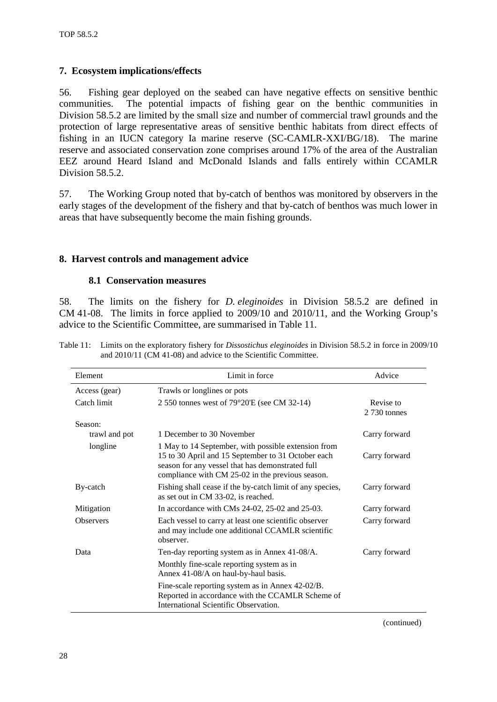# <span id="page-29-0"></span>**7. Ecosystem implications/effects**

56. Fishing gear deployed on the seabed can have negative effects on sensitive benthic communities. The potential impacts of fishing gear on the benthic communities in Division 58.5.2 are limited by the small size and number of commercial trawl grounds and the protection of large representative areas of sensitive benthic habitats from direct effects of fishing in an IUCN category Ia marine reserve (SC-CAMLR-XXI/BG/18). The marine reserve and associated conservation zone comprises around 17% of the area of the Australian EEZ around Heard Island and McDonald Islands and falls entirely within CCAMLR Division 58.5.2.

57. The Working Group noted that by-catch of benthos was monitored by observers in the early stages of the development of the fishery and that by-catch of benthos was much lower in areas that have subsequently become the main fishing grounds.

# **8. Harvest controls and management advice**

# **8.1 Conservation measures**

58. The limits on the fishery for *D. eleginoides* in Division 58.5.2 are defined in CM 41-08. The limits in force applied to 2009/10 and 2010/11, and the Working Group's advice to the Scientific Committee, are summarised in Table 11.

| Element          | Limit in force                                                                                                                                                                                                    | Advice                    |
|------------------|-------------------------------------------------------------------------------------------------------------------------------------------------------------------------------------------------------------------|---------------------------|
| Access (gear)    | Trawls or longlines or pots                                                                                                                                                                                       |                           |
| Catch limit      | 2 550 tonnes west of 79°20'E (see CM 32-14)                                                                                                                                                                       | Revise to<br>2 730 tonnes |
| Season:          |                                                                                                                                                                                                                   |                           |
| trawl and pot    | 1 December to 30 November                                                                                                                                                                                         | Carry forward             |
| longline         | 1 May to 14 September, with possible extension from<br>15 to 30 April and 15 September to 31 October each<br>season for any vessel that has demonstrated full<br>compliance with CM 25-02 in the previous season. | Carry forward             |
| By-catch         | Fishing shall cease if the by-catch limit of any species,<br>as set out in CM 33-02, is reached.                                                                                                                  | Carry forward             |
| Mitigation       | In accordance with CMs $24-02$ , $25-02$ and $25-03$ .                                                                                                                                                            | Carry forward             |
| <b>Observers</b> | Each vessel to carry at least one scientific observer<br>and may include one additional CCAMLR scientific<br>observer.                                                                                            | Carry forward             |
| Data             | Ten-day reporting system as in Annex 41-08/A.                                                                                                                                                                     | Carry forward             |
|                  | Monthly fine-scale reporting system as in<br>Annex 41-08/A on haul-by-haul basis.                                                                                                                                 |                           |
|                  | Fine-scale reporting system as in Annex 42-02/B.<br>Reported in accordance with the CCAMLR Scheme of<br>International Scientific Observation.                                                                     |                           |

Table 11: Limits on the exploratory fishery for *Dissostichus eleginoides* in Division 58.5.2 in force in 2009/10 and 2010/11 (CM 41-08) and advice to the Scientific Committee.

(continued)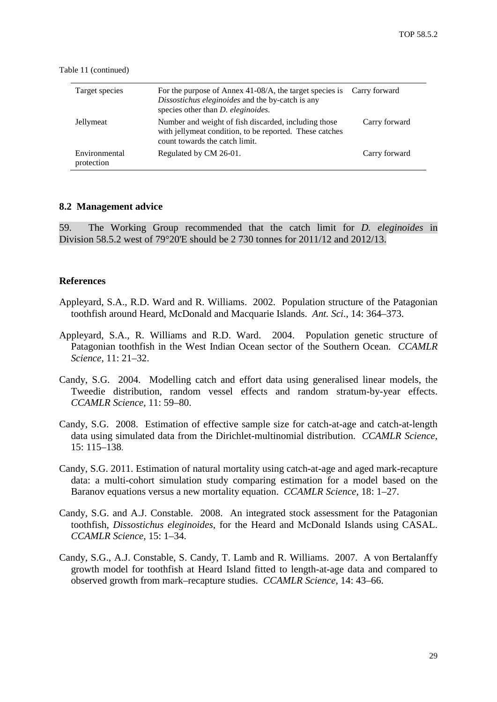| Target species              | For the purpose of Annex 41-08/A, the target species is Carry forward<br>Dissostichus eleginoides and the by-catch is any<br>species other than <i>D. eleginoides</i> . |               |
|-----------------------------|-------------------------------------------------------------------------------------------------------------------------------------------------------------------------|---------------|
| Jellymeat                   | Number and weight of fish discarded, including those<br>with jellymeat condition, to be reported. These catches<br>count towards the catch limit.                       | Carry forward |
| Environmental<br>protection | Regulated by CM 26-01.                                                                                                                                                  | Carry forward |

<span id="page-30-0"></span>Table 11 (continued)

#### **8.2 Management advice**

59. The Working Group recommended that the catch limit for *D. eleginoides* in Division 58.5.2 west of 79°20'E should be 2 730 tonnes for 2011/12 and 2012/13.

#### **References**

- Appleyard, S.A., R.D. Ward and R. Williams. 2002. Population structure of the Patagonian toothfish around Heard, McDonald and Macquarie Islands. *Ant. Sci*., 14: 364–373.
- Appleyard, S.A., R. Williams and R.D. Ward. 2004. Population genetic structure of Patagonian toothfish in the West Indian Ocean sector of the Southern Ocean. *CCAMLR Science*, 11: 21–32.
- Candy, S.G. 2004. Modelling catch and effort data using generalised linear models, the Tweedie distribution, random vessel effects and random stratum-by-year effects. *CCAMLR Science*, 11: 59–80.
- Candy, S.G. 2008. Estimation of effective sample size for catch-at-age and catch-at-length data using simulated data from the Dirichlet-multinomial distribution. *CCAMLR Science*, 15: 115–138.
- Candy, S.G. 2011. Estimation of natural mortality using catch-at-age and aged mark-recapture data: a multi-cohort simulation study comparing estimation for a model based on the Baranov equations versus a new mortality equation. *CCAMLR Science*, 18: 1–27.
- Candy, S.G. and A.J. Constable. 2008. An integrated stock assessment for the Patagonian toothfish, *Dissostichus eleginoides*, for the Heard and McDonald Islands using CASAL. *CCAMLR Science*, 15: 1–34.
- Candy, S.G., A.J. Constable, S. Candy, T. Lamb and R. Williams. 2007. A von Bertalanffy growth model for toothfish at Heard Island fitted to length-at-age data and compared to observed growth from mark–recapture studies. *CCAMLR Science*, 14: 43–66.